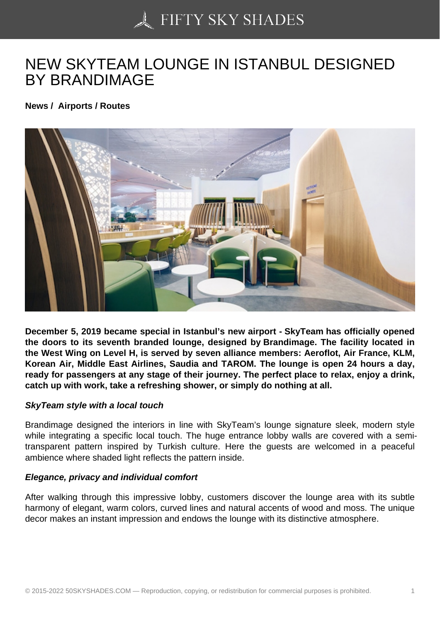## [NEW SKYTEAM LOUN](https://50skyshades.com)GE IN ISTANBUL DESIGNED BY BRANDIMAGE

News / Airports / Routes

December 5, 2019 became special in Istanbul's new airport - SkyTeam has officially opened the doors to its seventh branded lounge, designed by Brandimage. The facility located in the West Wing on Level H, is served by seven alliance members: Aeroflot, Air France, KLM, Korean Air, Middle East Airlines, Saudia and TAROM. The lounge is open 24 hours a day, ready for passengers at any stage of their journey. The perfect place to relax, enjoy a drink, catch up with work, take a refreshing shower, or simply do nothing at all.

SkyTeam style with a local touch

Brandimage designed the interiors in line with SkyTeam's lounge signature sleek, modern style while integrating a specific local touch. The huge entrance lobby walls are covered with a semitransparent pattern inspired by Turkish culture. Here the guests are welcomed in a peaceful ambience where shaded light reflects the pattern inside.

Elegance, privacy and individual comfort

After walking through this impressive lobby, customers discover the lounge area with its subtle harmony of elegant, warm colors, curved lines and natural accents of wood and moss. The unique decor makes an instant impression and endows the lounge with its distinctive atmosphere.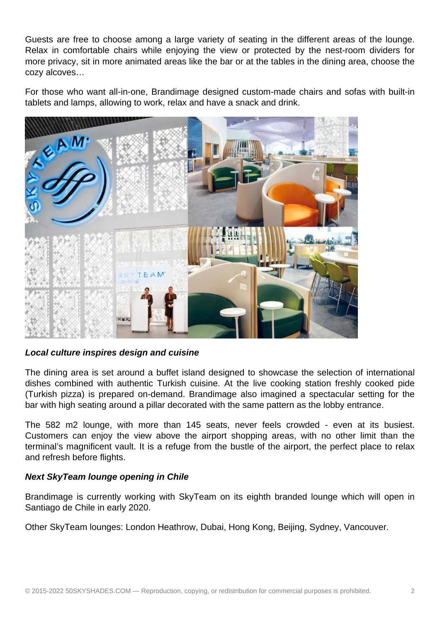Guests are free to choose among a large variety of seating in the different areas of the lounge. Relax in comfortable chairs while enjoying the view or protected by the nest-room dividers for more privacy, sit in more animated areas like the bar or at the tables in the dining area, choose the cozy alcoves…

For those who want all-in-one, Brandimage designed custom-made chairs and sofas with built-in tablets and lamps, allowing to work, relax and have a snack and drink.



**Local culture inspires design and cuisine**

The dining area is set around a buffet island designed to showcase the selection of international dishes combined with authentic Turkish cuisine. At the live cooking station freshly cooked pide (Turkish pizza) is prepared on-demand. Brandimage also imagined a spectacular setting for the bar with high seating around a pillar decorated with the same pattern as the lobby entrance.

The 582 m2 lounge, with more than 145 seats, never feels crowded - even at its busiest. Customers can enjoy the view above the airport shopping areas, with no other limit than the terminal's magnificent vault. It is a refuge from the bustle of the airport, the perfect place to relax and refresh before flights.

## **Next SkyTeam lounge opening in Chile**

Brandimage is currently working with SkyTeam on its eighth branded lounge which will open in Santiago de Chile in early 2020.

Other SkyTeam lounges: London Heathrow, Dubai, Hong Kong, Beijing, Sydney, Vancouver.